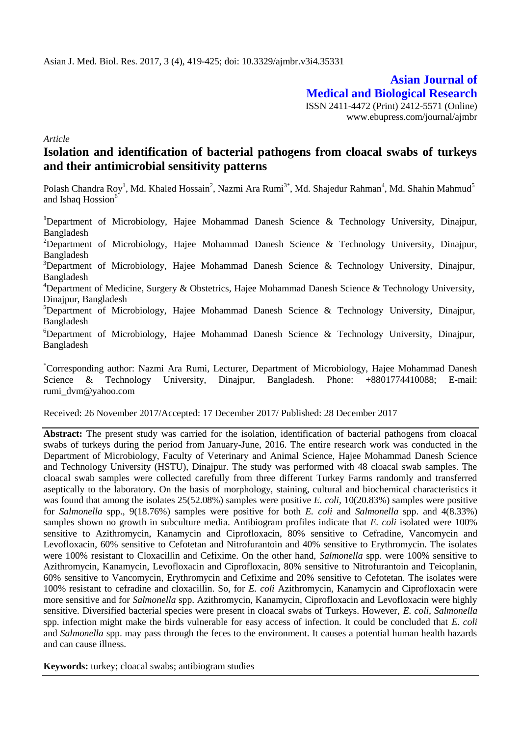**Asian Journal of Medical and Biological Research** ISSN 2411-4472 (Print) 2412-5571 (Online) www.ebupress.com/journal/ajmbr

*Article*

# **Isolation and identification of bacterial pathogens from cloacal swabs of turkeys and their antimicrobial sensitivity patterns**

Polash Chandra Roy<sup>1</sup>, Md. Khaled Hossain<sup>2</sup>, Nazmi Ara Rumi<sup>3\*</sup>, Md. Shajedur Rahman<sup>4</sup>, Md. Shahin Mahmud<sup>5</sup> and Ishaq Hossion<sup>6</sup>

**<sup>1</sup>**Department of Microbiology, Hajee Mohammad Danesh Science & Technology University, Dinajpur, Bangladesh <sup>2</sup>Department of Microbiology, Hajee Mohammad Danesh Science & Technology University, Dinajpur, Bangladesh <sup>3</sup>Department of Microbiology, Hajee Mohammad Danesh Science & Technology University, Dinajpur, Bangladesh <sup>4</sup>Department of Medicine, Surgery & Obstetrics, Hajee Mohammad Danesh Science & Technology University, Dinajpur, Bangladesh <sup>5</sup>Department of Microbiology, Hajee Mohammad Danesh Science & Technology University, Dinajpur, Bangladesh  $6$ Department of Microbiology, Hajee Mohammad Danesh Science & Technology University, Dinajpur, Bangladesh

\*Corresponding author: Nazmi Ara Rumi, Lecturer, Department of Microbiology, Hajee Mohammad Danesh Science & Technology University, Dinajpur, Bangladesh. Phone: +8801774410088; E-mail: rumi\_dvm@yahoo.com

Received: 26 November 2017/Accepted: 17 December 2017/ Published: 28 December 2017

**Abstract:** The present study was carried for the isolation, identification of bacterial pathogens from cloacal swabs of turkeys during the period from January-June, 2016. The entire research work was conducted in the Department of Microbiology, Faculty of Veterinary and Animal Science, Hajee Mohammad Danesh Science and Technology University (HSTU), Dinajpur. The study was performed with 48 cloacal swab samples. The cloacal swab samples were collected carefully from three different Turkey Farms randomly and transferred aseptically to the laboratory. On the basis of morphology, staining, cultural and biochemical characteristics it was found that among the isolates 25(52.08%) samples were positive *E. coli,* 10(20.83%) samples were positive for *Salmonella* spp., 9(18.76%) samples were positive for both *E. coli* and *Salmonella* spp. and 4(8.33%) samples shown no growth in subculture media. Antibiogram profiles indicate that *E. coli* isolated were 100% sensitive to Azithromycin, Kanamycin and Ciprofloxacin, 80% sensitive to Cefradine, Vancomycin and Levofloxacin, 60% sensitive to Cefotetan and Nitrofurantoin and 40% sensitive to Erythromycin. The isolates were 100% resistant to Cloxacillin and Cefixime. On the other hand, *Salmonella* spp. were 100% sensitive to Azithromycin, Kanamycin, Levofloxacin and Ciprofloxacin, 80% sensitive to Nitrofurantoin and Teicoplanin, 60% sensitive to Vancomycin, Erythromycin and Cefixime and 20% sensitive to Cefotetan. The isolates were 100% resistant to cefradine and cloxacillin. So, for *E. coli* Azithromycin, Kanamycin and Ciprofloxacin were more sensitive and for *Salmonella* spp. Azithromycin, Kanamycin, Ciprofloxacin and Levofloxacin were highly sensitive. Diversified bacterial species were present in cloacal swabs of Turkeys. However, *E. coli*, *Salmonella*  spp. infection might make the birds vulnerable for easy access of infection. It could be concluded that *E. coli* and *Salmonella* spp. may pass through the feces to the environment. It causes a potential human health hazards and can cause illness.

**Keywords:** turkey; cloacal swabs; antibiogram studies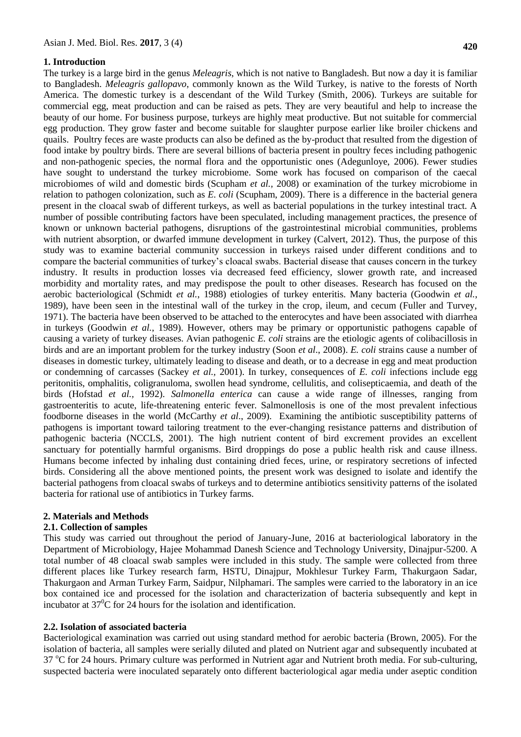### **1. Introduction**

The turkey is a large [bird](https://en.wikipedia.org/wiki/Bird) in the [genus](https://en.wikipedia.org/wiki/Genus) *Meleagris*, which is not native to Bangladesh. But now a day it is familiar to Bangladesh. *Meleagris gallopavo*, commonly known as the Wild Turkey, is native to the forests of North America. The domestic turkey is a descendant of the Wild Turkey (Smith, 2006). Turkeys are suitable for commercial egg, meat production and can be raised as pets. They are very beautiful and help to increase the beauty of our home. For business purpose, turkeys are highly meat productive. But not suitable for commercial egg production. They grow faster and become suitable for slaughter purpose earlier like [broiler chickens](http://www.roysfarm.com/broiler-poultry-farming/) and quails. Poultry feces are waste products can also be defined as the by-product that resulted from the digestion of food intake by poultry birds. There are several billions of bacteria present in poultry feces including pathogenic and non-pathogenic species, the normal flora and the opportunistic ones (Adegunloye, 2006). Fewer studies have sought to understand the turkey microbiome. Some work has focused on comparison of the caecal microbiomes of wild and domestic birds (Scupham *et al.,* 2008) or examination of the turkey microbiome in relation to pathogen colonization, such as *E. coli* (Scupham, 2009). There is a difference in the bacterial genera present in the cloacal swab of different turkeys, as well as bacterial populations in the turkey intestinal tract. A number of possible contributing factors have been speculated, including management practices, the presence of known or unknown bacterial pathogens, disruptions of the gastrointestinal microbial communities, problems with nutrient absorption, or dwarfed immune development in turkey (Calvert, 2012). Thus, the purpose of this study was to examine bacterial community succession in turkeys raised under different conditions and to compare the bacterial communities of turkey's cloacal swabs. Bacterial disease that causes concern in the turkey industry. It results in production losses via decreased feed efficiency, slower growth rate, and increased morbidity and mortality rates, and may predispose the poult to other diseases. Research has focused on the aerobic bacteriological (Schmidt *et al.*, 1988) etiologies of turkey enteritis. Many bacteria (Goodwin *et al.*, 1989), have been seen in the intestinal wall of the turkey in the crop, ileum, and cecum (Fuller and Turvey, 1971). The bacteria have been observed to be attached to the enterocytes and have been associated with diarrhea in turkeys (Goodwin *et al.*, 1989). However, others may be primary or opportunistic pathogens capable of causing a variety of turkey diseases. Avian pathogenic *E. coli* strains are the etiologic agents of colibacillosis in birds and are an important problem for the turkey industry (Soon *et al*., 2008). *E. coli* strains cause a number of diseases in domestic turkey, ultimately leading to disease and death, or to a decrease in egg and meat production or condemning of carcasses (Sackey *et al.,* 2001). In turkey, consequences of *E. coli* infections include egg peritonitis, omphalitis, coligranuloma, swollen head syndrome, cellulitis, and colisepticaemia, and death of the birds (Hofstad *et al.,* 1992). *Salmonella enterica* can cause a wide range of illnesses, ranging from gastroenteritis to acute, life-threatening enteric fever. Salmonellosis is one of the most prevalent infectious foodborne diseases in the world (McCarthy *et al*., 2009). Examining the antibiotic susceptibility patterns of pathogens is important toward tailoring treatment to the ever-changing resistance patterns and distribution of pathogenic bacteria (NCCLS, 2001). The high nutrient content of bird excrement provides an excellent sanctuary for potentially harmful organisms. Bird droppings do pose a public health risk and cause illness. Humans become infected by inhaling dust containing dried feces, urine, or respiratory secretions of infected birds. Considering all the above mentioned points, the present work was designed to isolate and identify the bacterial pathogens from cloacal swabs of turkeys and to determine antibiotics sensitivity patterns of the isolated bacteria for rational use of antibiotics in Turkey farms.

### **2. Materials and Methods**

### **2.1. Collection of samples**

This study was carried out throughout the period of January-June, 2016 at bacteriological laboratory in the Department of Microbiology, Hajee Mohammad Danesh Science and Technology University, Dinajpur-5200. A total number of 48 cloacal swab samples were included in this study. The sample were collected from three different places like Turkey research farm, HSTU, Dinajpur, Mokhlesur Turkey Farm, Thakurgaon Sadar, Thakurgaon and Arman Turkey Farm, Saidpur, Nilphamari. The samples were carried to the laboratory in an ice box contained ice and processed for the isolation and characterization of bacteria subsequently and kept in incubator at  $37^{\circ}$ C for 24 hours for the isolation and identification.

### **2.2. Isolation of associated bacteria**

Bacteriological examination was carried out using standard method for aerobic bacteria (Brown, 2005). For the isolation of bacteria, all samples were serially diluted and plated on Nutrient agar and subsequently incubated at 37 °C for 24 hours. Primary culture was performed in Nutrient agar and Nutrient broth media. For sub-culturing, suspected bacteria were inoculated separately onto different bacteriological agar media under aseptic condition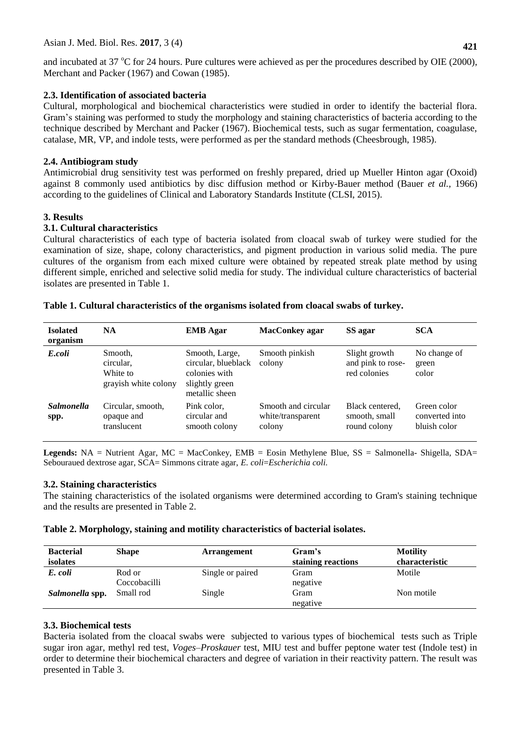# Asian J. Med. Biol. Res. **2017**, 3 (4)

and incubated at 37  $\rm{^{\circ}C}$  for 24 hours. Pure cultures were achieved as per the procedures described by OIE (2000), Merchant and Packer (1967) and Cowan (1985).

# **2.3. Identification of associated bacteria**

Cultural, morphological and biochemical characteristics were studied in order to identify the bacterial flora. Gram's staining was performed to study the morphology and staining characteristics of bacteria according to the technique described by Merchant and Packer (1967). Biochemical tests, such as sugar fermentation, coagulase, catalase, MR, VP, and indole tests, were performed as per the standard methods (Cheesbrough, 1985).

# **2.4. Antibiogram study**

Antimicrobial drug sensitivity test was performed on freshly prepared, dried up Mueller Hinton agar (Oxoid) against 8 commonly used antibiotics by disc diffusion method or Kirby-Bauer method (Bauer *et al.,* 1966) according to the guidelines of Clinical and Laboratory Standards Institute (CLSI, 2015).

# **3. Results**

# **3.1. Cultural characteristics**

Cultural characteristics of each type of bacteria isolated from cloacal swab of turkey were studied for the examination of size, shape, colony characteristics, and pigment production in various solid media. The pure cultures of the organism from each mixed culture were obtained by repeated streak plate method by using different simple, enriched and selective solid media for study. The individual culture characteristics of bacterial isolates are presented in Table 1.

| <b>Isolated</b><br>organism | <b>NA</b>                                                | <b>EMB</b> Agar                                                                            | MacConkey agar                                     | SS agar                                            | <b>SCA</b>                                    |
|-----------------------------|----------------------------------------------------------|--------------------------------------------------------------------------------------------|----------------------------------------------------|----------------------------------------------------|-----------------------------------------------|
| E.coli                      | Smooth,<br>circular,<br>White to<br>grayish white colony | Smooth, Large,<br>circular, blueblack<br>colonies with<br>slightly green<br>metallic sheen | Smooth pinkish<br>colony                           | Slight growth<br>and pink to rose-<br>red colonies | No change of<br>green<br>color                |
| <b>Salmonella</b><br>spp.   | Circular, smooth,<br>opaque and<br>translucent           | Pink color.<br>circular and<br>smooth colony                                               | Smooth and circular<br>white/transparent<br>colony | Black centered.<br>smooth, small<br>round colony   | Green color<br>converted into<br>bluish color |

### **Table 1. Cultural characteristics of the organisms isolated from cloacal swabs of turkey.**

**Legends:** NA = Nutrient Agar, MC = MacConkey, EMB = Eosin Methylene Blue, SS = Salmonella- Shigella, SDA= Sebouraued dextrose agar, SCA= Simmons citrate agar, *E. coli*=*Escherichia coli.*

# **3.2. Staining characteristics**

The staining characteristics of the isolated organisms were determined according to Gram's staining technique and the results are presented in Table 2.

# **Table 2. Morphology, staining and motility characteristics of bacterial isolates.**

| <b>Bacterial</b><br>isolates | <b>Shape</b>           | <b>Arrangement</b> | Gram's<br>staining reactions | <b>Motility</b><br>characteristic |
|------------------------------|------------------------|--------------------|------------------------------|-----------------------------------|
| E. coli                      | Rod or<br>Coccobacilli | Single or paired   | Gram<br>negative             | Motile                            |
| Salmonella spp.              | Small rod              | Single             | Gram<br>negative             | Non motile                        |

# **3.3. Biochemical tests**

Bacteria isolated from the cloacal swabs were subjected to various types of biochemical tests such as Triple sugar iron agar, methyl red test, *Voges*–*Proskauer* test, MIU test and buffer peptone water test (Indole test) in order to determine their biochemical characters and degree of variation in their reactivity pattern. The result was presented in Table 3.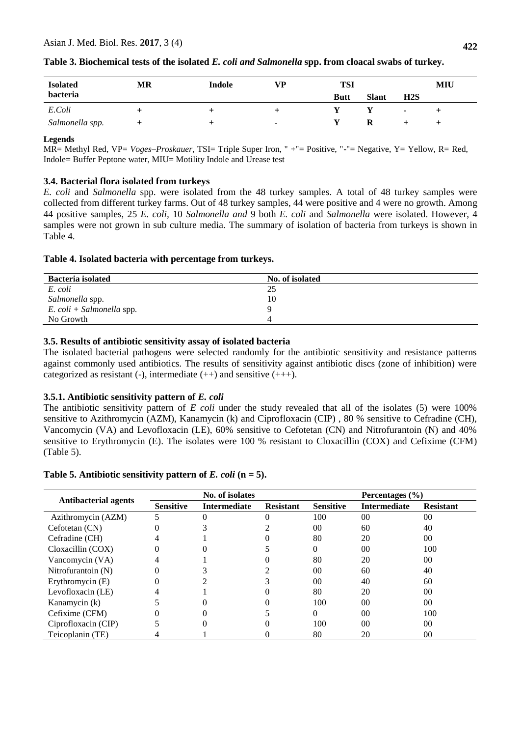| <b>Isolated</b> | MR | Indole | VD. | TSI         |              |     | MIU |
|-----------------|----|--------|-----|-------------|--------------|-----|-----|
| bacteria        |    |        |     | <b>Butt</b> | <b>Slant</b> | H2S |     |
| E.Coli          |    |        |     |             |              | ٠   |     |
| Salmonella spp. |    |        |     |             | ĸ            |     |     |

# **Table 3. Biochemical tests of the isolated** *E. coli and Salmonella* **spp. from cloacal swabs of turkey.**

### **Legends**

MR= Methyl Red, VP= *Voges*–*Proskauer*, TSI= Triple Super Iron, " +"= Positive, "-"= Negative, Y= Yellow, R= Red, Indole= Buffer Peptone water, MIU= Motility Indole and Urease test

# **3.4. Bacterial flora isolated from turkeys**

*E. coli* and *Salmonella* spp. were isolated from the 48 turkey samples. A total of 48 turkey samples were collected from different turkey farms. Out of 48 turkey samples, 44 were positive and 4 were no growth. Among 44 positive samples, 25 *E. coli,* 10 *Salmonella and* 9 both *E. coli* and *Salmonella* were isolated. However, 4 samples were not grown in sub culture media*.* The summary of isolation of bacteria from turkeys is shown in Table 4.

# **Table 4. Isolated bacteria with percentage from turkeys.**

| <b>Bacteria</b> isolated    | No. of isolated |  |
|-----------------------------|-----------------|--|
| E. coli                     | 25              |  |
| Salmonella spp.             | 10              |  |
| $E.$ coli + Salmonella spp. |                 |  |
| No Growth                   |                 |  |

# **3.5. Results of antibiotic sensitivity assay of isolated bacteria**

The isolated bacterial pathogens were selected randomly for the antibiotic sensitivity and resistance patterns against commonly used antibiotics. The results of sensitivity against antibiotic discs (zone of inhibition) were categorized as resistant (-), intermediate  $(++)$  and sensitive  $(++)$ .

### **3.5.1. Antibiotic sensitivity pattern of** *E. coli*

The antibiotic sensitivity pattern of *E coli* under the study revealed that all of the isolates (5) were 100% sensitive to Azithromycin (AZM), Kanamycin (k) and Ciprofloxacin (CIP), 80 % sensitive to Cefradine (CH), Vancomycin (VA) and Levofloxacin (LE), 60% sensitive to Cefotetan (CN) and Nitrofurantoin (N) and 40% sensitive to Erythromycin (E). The isolates were 100 % resistant to Cloxacillin (COX) and Cefixime (CFM) (Table 5).

# **Table 5. Antibiotic sensitivity pattern of** *E. coli* **(n = 5).**

|                             | No. of isolates  |                     |                  | Percentages $(\% )$ |                     |                  |
|-----------------------------|------------------|---------------------|------------------|---------------------|---------------------|------------------|
| <b>Antibacterial agents</b> | <b>Sensitive</b> | <b>Intermediate</b> | <b>Resistant</b> | <b>Sensitive</b>    | <b>Intermediate</b> | <b>Resistant</b> |
| Azithromycin (AZM)          |                  |                     |                  | 100                 | 00 <sup>0</sup>     | $00\,$           |
| Cefotetan (CN)              |                  |                     |                  | 00 <sup>1</sup>     | 60                  | 40               |
| Cefradine (CH)              |                  |                     |                  | 80                  | 20                  | 0 <sup>0</sup>   |
| Cloxacillin (COX)           |                  |                     |                  |                     | $00\,$              | 100              |
| Vancomycin (VA)             |                  |                     |                  | 80                  | 20                  | 00               |
| Nitrofurantoin (N)          |                  |                     |                  | $00\,$              | 60                  | 40               |
| Erythromycin (E)            |                  |                     |                  | 00 <sup>1</sup>     | 40                  | 60               |
| Levofloxacin (LE)           |                  |                     |                  | 80                  | 20                  | 00               |
| Kanamycin (k)               |                  |                     |                  | 100                 | 0 <sup>0</sup>      | 0 <sup>0</sup>   |
| Cefixime (CFM)              |                  |                     |                  |                     | 0 <sup>0</sup>      | 100              |
| Ciprofloxacin (CIP)         |                  |                     |                  | 100                 | 0 <sup>0</sup>      | 00               |
| Teicoplanin (TE)            |                  |                     |                  | 80                  | 20                  | 00               |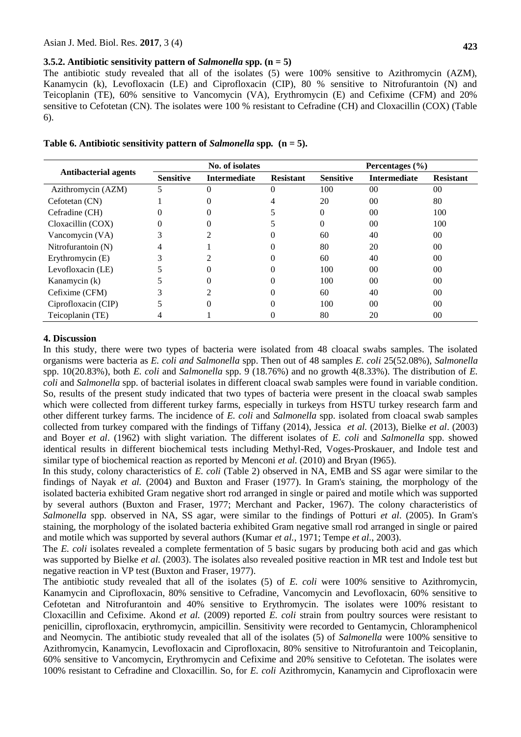#### **3.5.2. Antibiotic sensitivity pattern of** *Salmonella* **spp. (n = 5)**

The antibiotic study revealed that all of the isolates (5) were 100% sensitive to Azithromycin (AZM), Kanamycin (k), Levofloxacin (LE) and Ciprofloxacin (CIP), 80 % sensitive to Nitrofurantoin (N) and Teicoplanin (TE), 60% sensitive to Vancomycin (VA), Erythromycin (E) and Cefixime (CFM) and 20% sensitive to Cefotetan (CN). The isolates were 100 % resistant to Cefradine (CH) and Cloxacillin (COX) (Table 6).

|                             | No. of isolates  |                     |                  | Percentages (%)  |                     |                  |
|-----------------------------|------------------|---------------------|------------------|------------------|---------------------|------------------|
| <b>Antibacterial agents</b> | <b>Sensitive</b> | <b>Intermediate</b> | <b>Resistant</b> | <b>Sensitive</b> | <b>Intermediate</b> | <b>Resistant</b> |
| Azithromycin (AZM)          |                  |                     |                  | 100              | $00\,$              | $00\,$           |
| Cefotetan (CN)              |                  |                     |                  | 20               | $00\,$              | 80               |
| Cefradine (CH)              |                  |                     |                  | 0                | 00                  | 100              |
| Cloxacillin (COX)           |                  |                     |                  | 0                | 00                  | 100              |
| Vancomycin (VA)             |                  |                     |                  | 60               | 40                  | $00\,$           |
| Nitrofurantoin (N)          | 4                |                     |                  | 80               | 20                  | 00               |
| Erythromycin (E)            |                  |                     |                  | 60               | 40                  | $00\,$           |
| Levofloxacin (LE)           |                  | 0                   |                  | 100              | 00 <sup>0</sup>     | 00               |
| Kanamycin (k)               |                  |                     |                  | 100              | 00 <sup>0</sup>     | 00               |
| Cefixime (CFM)              |                  |                     |                  | 60               | 40                  | $00\,$           |
| Ciprofloxacin (CIP)         |                  | $\Omega$            |                  | 100              | 0 <sub>0</sub>      | $00\,$           |
| Teicoplanin (TE)            |                  |                     |                  | 80               | 20                  | $00\,$           |

### **4. Discussion**

In this study, there were two types of bacteria were isolated from 48 cloacal swabs samples. The isolated organisms were bacteria as *E. coli and Salmonella* spp. Then out of 48 samples *E. coli* 25(52.08%), *Salmonella* spp. 10(20.83%), both *E. coli* and *Salmonella* spp. 9 (18.76%) and no growth 4(8.33%). The distribution of *E. coli* and *Salmonella* spp. of bacterial isolates in different cloacal swab samples were found in variable condition. So, results of the present study indicated that two types of bacteria were present in the cloacal swab samples which were collected from different turkey farms, especially in turkeys from HSTU turkey research farm and other different turkey farms. The incidence of *E. coli* and *Salmonella* spp. isolated from cloacal swab samples collected from turkey compared with the findings of Tiffany (2014), Jessica *et al.* (2013), Bielke *et al*. (2003) and Boyer *et al*. (1962) with slight variation. The different isolates of *E. coli* and *Salmonella* spp. showed identical results in different biochemical tests including Methyl-Red, Voges-Proskauer, and Indole test and similar type of biochemical reaction as reported by Menconi *et al.* (2010) and Bryan (I965).

In this study, colony characteristics of *E. coli* (Table 2) observed in NA, EMB and SS agar were similar to the findings of Nayak *et al.* (2004) and Buxton and Fraser (1977). In Gram's staining, the morphology of the isolated bacteria exhibited Gram negative short rod arranged in single or paired and motile which was supported by several authors (Buxton and Fraser, 1977; Merchant and Packer, 1967). The colony characteristics of *Salmonella* spp. observed in NA, SS agar, were similar to the findings of Potturi *et al*. (2005). In Gram's staining, the morphology of the isolated bacteria exhibited Gram negative small rod arranged in single or paired and motile which was supported by several authors (Kumar *et al.*, 1971; Tempe *et al.*, 2003).

The *E. coli* isolates revealed a complete fermentation of 5 basic sugars by producing both acid and gas which was supported by Bielke *et al.* (2003). The isolates also revealed positive reaction in MR test and Indole test but negative reaction in VP test (Buxton and Fraser, 1977).

The antibiotic study revealed that all of the isolates (5) of *E. coli* were 100% sensitive to Azithromycin, Kanamycin and Ciprofloxacin, 80% sensitive to Cefradine, Vancomycin and Levofloxacin, 60% sensitive to Cefotetan and Nitrofurantoin and 40% sensitive to Erythromycin. The isolates were 100% resistant to Cloxacillin and Cefixime. Akond *et al.* (2009) reported *E. coli* strain from poultry sources were resistant to penicillin, ciprofloxacin, erythromycin, ampicillin. Sensitivity were recorded to Gentamycin, Chloramphenicol and Neomycin. The antibiotic study revealed that all of the isolates (5) of *Salmonella* were 100% sensitive to Azithromycin, Kanamycin, Levofloxacin and Ciprofloxacin, 80% sensitive to Nitrofurantoin and Teicoplanin, 60% sensitive to Vancomycin, Erythromycin and Cefixime and 20% sensitive to Cefotetan. The isolates were 100% resistant to Cefradine and Cloxacillin. So, for *E. coli* Azithromycin, Kanamycin and Ciprofloxacin were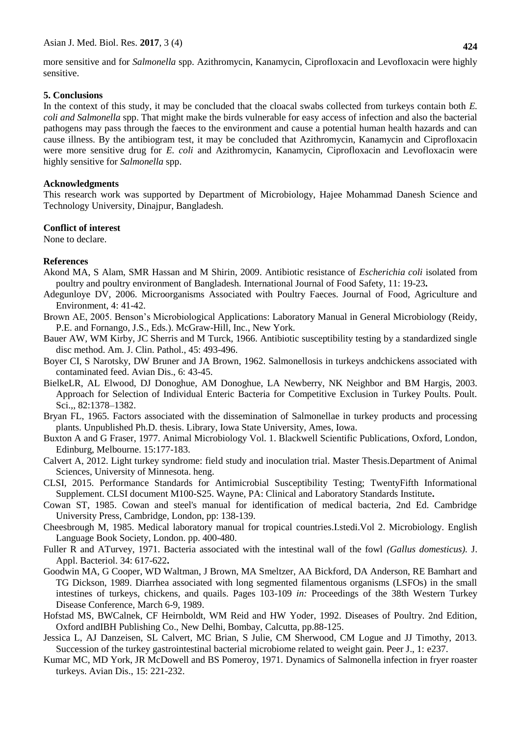more sensitive and for *Salmonella* spp. Azithromycin, Kanamycin, Ciprofloxacin and Levofloxacin were highly sensitive.

### **5. Conclusions**

In the context of this study, it may be concluded that the cloacal swabs collected from turkeys contain both *E. coli and Salmonella* spp. That might make the birds vulnerable for easy access of infection and also the bacterial pathogens may pass through the faeces to the environment and cause a potential human health hazards and can cause illness. By the antibiogram test, it may be concluded that Azithromycin, Kanamycin and Ciprofloxacin were more sensitive drug for *E. coli* and Azithromycin, Kanamycin, Ciprofloxacin and Levofloxacin were highly sensitive for *Salmonella* spp.

# **Acknowledgments**

This research work was supported by Department of Microbiology, Hajee Mohammad Danesh Science and Technology University, Dinajpur, Bangladesh.

# **Conflict of interest**

None to declare.

# **References**

- Akond MA, S Alam, SMR Hassan and M Shirin, 2009. Antibiotic resistance of *Escherichia coli* isolated from poultry and poultry environment of Bangladesh*.* International Journal of Food Safety, 11: 19-23**.**
- Adegunloye DV, 2006. Microorganisms Associated with Poultry Faeces. Journal of Food, Agriculture and Environment, 4: 41-42.
- Brown AE, 2005. Benson's Microbiological Applications: Laboratory Manual in General Microbiology (Reidy, P.E. and Fornango, J.S., Eds.). McGraw-Hill, Inc., New York.
- Bauer AW, WM Kirby, JC Sherris and M Turck, 1966. Antibiotic susceptibility testing by a standardized single disc method. Am. J. Clin. Pathol., 45: 493-496.
- Boyer CI, S Narotsky, DW Bruner and JA Brown, 1962. Salmonellosis in turkeys andchickens associated with contaminated feed. Avian Dis., 6: 43-45.
- BielkeLR, AL Elwood, DJ Donoghue, AM Donoghue, LA Newberry, NK Neighbor and BM Hargis, 2003. Approach for Selection of Individual Enteric Bacteria for Competitive Exclusion in Turkey Poults. Poult. Sci.,, 82:1378–1382.
- Bryan FL, 1965. Factors associated with the dissemination of Salmonellae in turkey products and processing plants. Unpublished Ph.D. thesis. Library, Iowa State University, Ames, Iowa.
- Buxton A and G Fraser, 1977. Animal Microbiology Vol. 1. Blackwell Scientific Publications, Oxford, London, Edinburg, Melbourne. 15:177-183.
- Calvert A, 2012. Light turkey syndrome: field study and inoculation trial. Master Thesis.Department of Animal Sciences, University of Minnesota. heng.
- CLSI, 2015. Performance Standards for Antimicrobial Susceptibility Testing; TwentyFifth Informational Supplement. CLSI document M100-S25. Wayne, PA: Clinical and Laboratory Standards Institute**.**
- Cowan ST, 1985. Cowan and steel's manual for identification of medical bacteria, 2nd Ed. Cambridge University Press, Cambridge, London, pp: 138-139.
- Cheesbrough M, 1985. Medical laboratory manual for tropical countries.I.stedi.Vol 2. Microbiology. English Language Book Society, London. pp. 400-480.
- Fuller R and ATurvey, 1971. Bacteria associated with the intestinal wall of the fowl *(Gallus domesticus).* J. Appl. Bacteriol. 34: 617-622**.**
- Goodwin MA, G Cooper, WD Waltman, J Brown, MA Smeltzer, AA Bickford, DA Anderson, RE Bamhart and TG Dickson, 1989. Diarrhea associated with long segmented filamentous organisms (LSFOs) in the small intestines of turkeys, chickens, and quails. Pages 103-109 *in:* Proceedings of the 38th Western Turkey Disease Conference, March 6-9, 1989.
- Hofstad MS, BWCalnek, CF Heirnboldt, WM Reid and HW Yoder, 1992. Diseases of Poultry. 2nd Edition, Oxford andIBH Publishing Co., New Delhi, Bombay, Calcutta, pp.88-125.
- Jessica L, AJ Danzeisen, SL Calvert, MC Brian, S Julie, CM Sherwood, CM Logue and JJ Timothy, 2013. Succession of the turkey gastrointestinal bacterial microbiome related to weight gain. Peer J., 1: e237.
- Kumar MC, MD York, JR McDowell and BS Pomeroy, 1971. Dynamics of Salmonella infection in fryer roaster turkeys. Avian Dis., 15: 221-232.